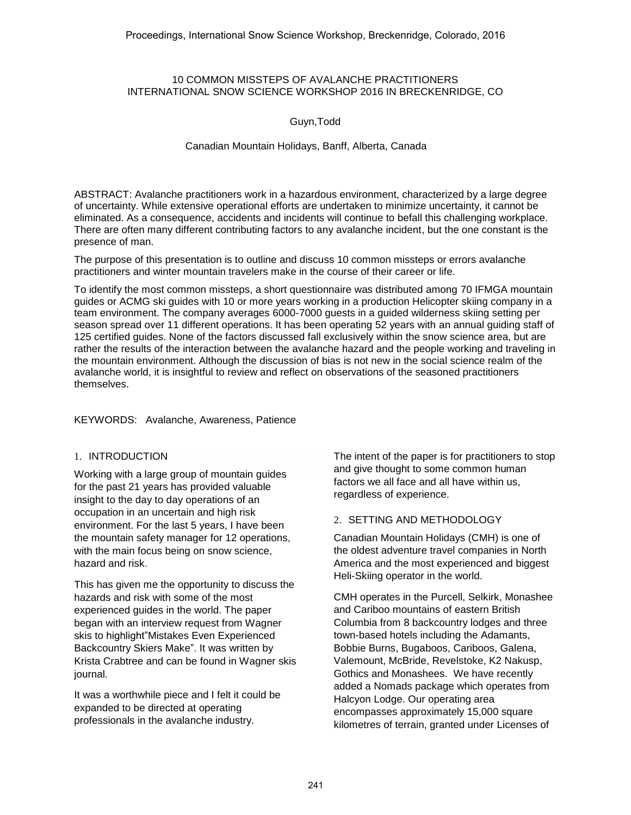### 10 COMMON MISSTEPS OF AVALANCHE PRACTITIONERS INTERNATIONAL SNOW SCIENCE WORKSHOP 2016 IN BRECKENRIDGE, CO

Guyn,Todd

Canadian Mountain Holidays, Banff, Alberta, Canada

ABSTRACT: Avalanche practitioners work in a hazardous environment, characterized by a large degree of uncertainty. While extensive operational efforts are undertaken to minimize uncertainty, it cannot be eliminated. As a consequence, accidents and incidents will continue to befall this challenging workplace. There are often many different contributing factors to any avalanche incident, but the one constant is the presence of man.

The purpose of this presentation is to outline and discuss 10 common missteps or errors avalanche practitioners and winter mountain travelers make in the course of their career or life.

To identify the most common missteps, a short questionnaire was distributed among 70 IFMGA mountain guides or ACMG ski guides with 10 or more years working in a production Helicopter skiing company in a team environment. The company averages 6000-7000 guests in a guided wilderness skiing setting per season spread over 11 different operations. It has been operating 52 years with an annual guiding staff of 125 certified guides. None of the factors discussed fall exclusively within the snow science area, but are rather the results of the interaction between the avalanche hazard and the people working and traveling in the mountain environment. Although the discussion of bias is not new in the social science realm of the avalanche world, it is insightful to review and reflect on observations of the seasoned practitioners themselves.

## KEYWORDS: Avalanche, Awareness, Patience

## 1. INTRODUCTION

Working with a large group of mountain guides for the past 21 years has provided valuable insight to the day to day operations of an occupation in an uncertain and high risk environment. For the last 5 years, I have been the mountain safety manager for 12 operations, with the main focus being on snow science, hazard and risk.

This has given me the opportunity to discuss the hazards and risk with some of the most experienced guides in the world. The paper began with an interview request from Wagner skis to highlight"Mistakes Even Experienced Backcountry Skiers Make". It was written by Krista Crabtree and can be found in Wagner skis journal.

It was a worthwhile piece and I felt it could be expanded to be directed at operating professionals in the avalanche industry.

The intent of the paper is for practitioners to stop and give thought to some common human factors we all face and all have within us, regardless of experience.

### 2. SETTING AND METHODOLOGY

Canadian Mountain Holidays (CMH) is one of the oldest adventure travel companies in North America and the most experienced and biggest Heli-Skiing operator in the world.

CMH operates in the Purcell, Selkirk, Monashee and Cariboo mountains of eastern British Columbia from 8 backcountry lodges and three town-based hotels including the Adamants, Bobbie Burns, Bugaboos, Cariboos, Galena, Valemount, McBride, Revelstoke, K2 Nakusp, Gothics and Monashees. We have recently added a Nomads package which operates from Halcyon Lodge. Our operating area encompasses approximately 15,000 square kilometres of terrain, granted under Licenses of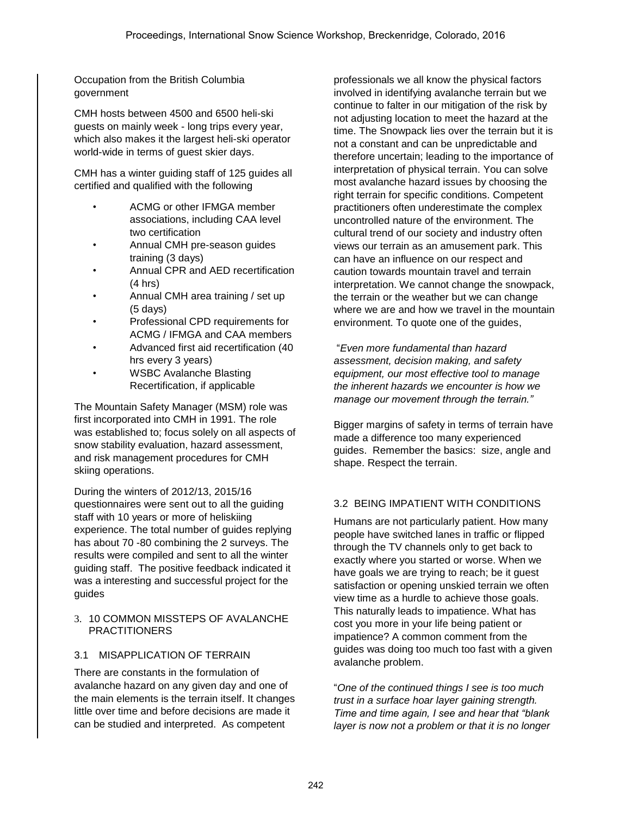Occupation from the British Columbia government

CMH hosts between 4500 and 6500 heli-ski guests on mainly week - long trips every year, which also makes it the largest heli-ski operator world-wide in terms of guest skier days.

CMH has a winter guiding staff of 125 guides all certified and qualified with the following

- ACMG or other IFMGA member associations, including CAA level two certification
- Annual CMH pre-season guides training (3 days)
- Annual CPR and AED recertification (4 hrs)
- Annual CMH area training / set up (5 days)
- Professional CPD requirements for ACMG / IFMGA and CAA members
- Advanced first aid recertification (40 hrs every 3 years)
- WSBC Avalanche Blasting Recertification, if applicable

The Mountain Safety Manager (MSM) role was first incorporated into CMH in 1991. The role was established to; focus solely on all aspects of snow stability evaluation, hazard assessment, and risk management procedures for CMH skiing operations.

During the winters of 2012/13, 2015/16 questionnaires were sent out to all the guiding staff with 10 years or more of heliskiing experience. The total number of guides replying has about 70 -80 combining the 2 surveys. The results were compiled and sent to all the winter guiding staff. The positive feedback indicated it was a interesting and successful project for the guides

### 3. 10 COMMON MISSTEPS OF AVALANCHE PRACTITIONERS

## 3.1 MISAPPLICATION OF TERRAIN

There are constants in the formulation of avalanche hazard on any given day and one of the main elements is the terrain itself. It changes little over time and before decisions are made it can be studied and interpreted. As competent

professionals we all know the physical factors involved in identifying avalanche terrain but we continue to falter in our mitigation of the risk by not adjusting location to meet the hazard at the time. The Snowpack lies over the terrain but it is not a constant and can be unpredictable and therefore uncertain; leading to the importance of interpretation of physical terrain. You can solve most avalanche hazard issues by choosing the right terrain for specific conditions. Competent practitioners often underestimate the complex uncontrolled nature of the environment. The cultural trend of our society and industry often views our terrain as an amusement park. This can have an influence on our respect and caution towards mountain travel and terrain interpretation. We cannot change the snowpack, the terrain or the weather but we can change where we are and how we travel in the mountain environment. To quote one of the guides,

"*Even more fundamental than hazard assessment, decision making, and safety equipment, our most effective tool to manage the inherent hazards we encounter is how we manage our movement through the terrain."*

Bigger margins of safety in terms of terrain have made a difference too many experienced guides. Remember the basics: size, angle and shape. Respect the terrain.

## 3.2 BEING IMPATIENT WITH CONDITIONS

Humans are not particularly patient. How many people have switched lanes in traffic or flipped through the TV channels only to get back to exactly where you started or worse. When we have goals we are trying to reach; be it guest satisfaction or opening unskied terrain we often view time as a hurdle to achieve those goals. This naturally leads to impatience. What has cost you more in your life being patient or impatience? A common comment from the guides was doing too much too fast with a given avalanche problem.

"*One of the continued things I see is too much trust in a surface hoar layer gaining strength. Time and time again, I see and hear that "blank layer is now not a problem or that it is no longer*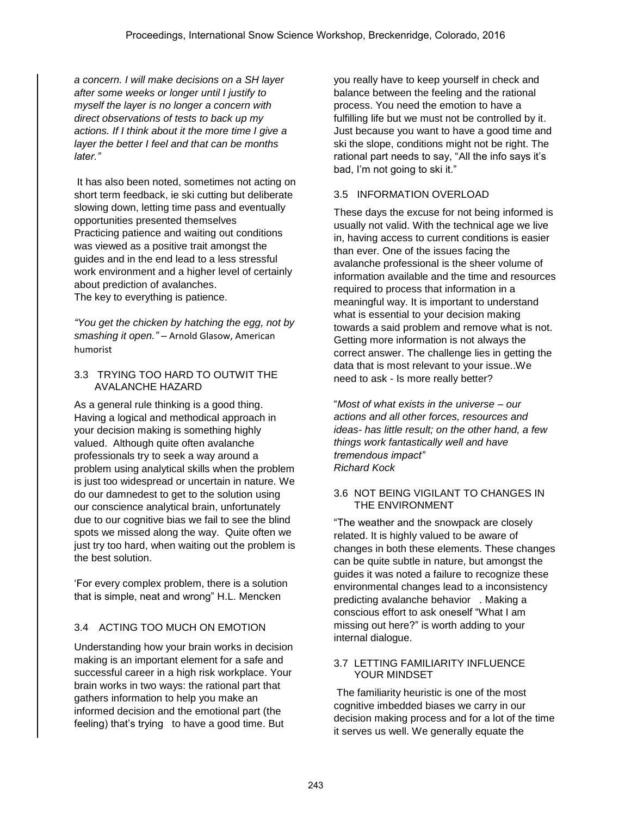*a concern. I will make decisions on a SH layer after some weeks or longer until I justify to myself the layer is no longer a concern with direct observations of tests to back up my actions. If I think about it the more time I give a layer the better I feel and that can be months later."*

It has also been noted, sometimes not acting on short term feedback, ie ski cutting but deliberate slowing down, letting time pass and eventually opportunities presented themselves Practicing patience and waiting out conditions was viewed as a positive trait amongst the guides and in the end lead to a less stressful work environment and a higher level of certainly about prediction of avalanches. The key to everything is patience.

*"You get the chicken by hatching the egg, not by smashing it open." –* Arnold Glasow, American humorist

## 3.3 TRYING TOO HARD TO OUTWIT THE AVALANCHE HAZARD

As a general rule thinking is a good thing. Having a logical and methodical approach in your decision making is something highly valued. Although quite often avalanche professionals try to seek a way around a problem using analytical skills when the problem is just too widespread or uncertain in nature. We do our damnedest to get to the solution using our conscience analytical brain, unfortunately due to our cognitive bias we fail to see the blind spots we missed along the way. Quite often we just try too hard, when waiting out the problem is the best solution.

'For every complex problem, there is a solution that is simple, neat and wrong" H.L. Mencken

# 3.4 ACTING TOO MUCH ON EMOTION

Understanding how your brain works in decision making is an important element for a safe and successful career in a high risk workplace. Your brain works in two ways: the rational part that gathers information to help you make an informed decision and the emotional part (the feeling) that's trying to have a good time. But

you really have to keep yourself in check and balance between the feeling and the rational process. You need the emotion to have a fulfilling life but we must not be controlled by it. Just because you want to have a good time and ski the slope, conditions might not be right. The rational part needs to say, "All the info says it's bad, I'm not going to ski it."

## 3.5 INFORMATION OVERLOAD

These days the excuse for not being informed is usually not valid. With the technical age we live in, having access to current conditions is easier than ever. One of the issues facing the avalanche professional is the sheer volume of information available and the time and resources required to process that information in a meaningful way. It is important to understand what is essential to your decision making towards a said problem and remove what is not. Getting more information is not always the correct answer. The challenge lies in getting the data that is most relevant to your issue..We need to ask - Is more really better?

"*Most of what exists in the universe – our actions and all other forces, resources and ideas- has little result; on the other hand, a few things work fantastically well and have tremendous impact" Richard Kock* 

### 3.6 NOT BEING VIGILANT TO CHANGES IN THE ENVIRONMENT

"The weather and the snowpack are closely related. It is highly valued to be aware of changes in both these elements. These changes can be quite subtle in nature, but amongst the guides it was noted a failure to recognize these environmental changes lead to a inconsistency predicting avalanche behavior . Making a conscious effort to ask oneself "What I am missing out here?" is worth adding to your internal dialogue.

### 3.7 LETTING FAMILIARITY INFLUENCE YOUR MINDSET

 The familiarity heuristic is one of the most cognitive imbedded biases we carry in our decision making process and for a lot of the time it serves us well. We generally equate the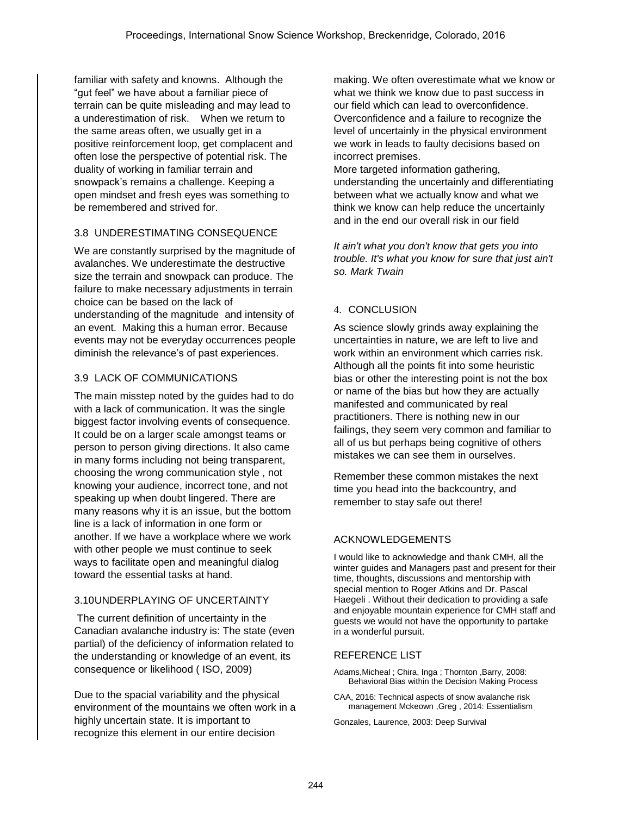familiar with safety and knowns. Although the "gut feel" we have about a familiar piece of terrain can be quite misleading and may lead to a underestimation of risk. When we return to the same areas often, we usually get in a positive reinforcement loop, get complacent and often lose the perspective of potential risk. The duality of working in familiar terrain and snowpack's remains a challenge. Keeping a open mindset and fresh eyes was something to be remembered and strived for.

## 3.8 UNDERESTIMATING CONSEQUENCE

We are constantly surprised by the magnitude of avalanches. We underestimate the destructive size the terrain and snowpack can produce. The failure to make necessary adjustments in terrain choice can be based on the lack of understanding of the magnitude and intensity of an event. Making this a human error. Because events may not be everyday occurrences people diminish the relevance's of past experiences.

## 3.9 LACK OF COMMUNICATIONS

The main misstep noted by the guides had to do with a lack of communication. It was the single biggest factor involving events of consequence. It could be on a larger scale amongst teams or person to person giving directions. It also came in many forms including not being transparent, choosing the wrong communication style , not knowing your audience, incorrect tone, and not speaking up when doubt lingered. There are many reasons why it is an issue, but the bottom line is a lack of information in one form or another. If we have a workplace where we work with other people we must continue to seek ways to facilitate open and meaningful dialog toward the essential tasks at hand.

## 3.10 UNDERPLAYING OF UNCERTAINTY

 The current definition of uncertainty in the Canadian avalanche industry is: The state (even partial) of the deficiency of information related to the understanding or knowledge of an event, its consequence or likelihood ( ISO, 2009)

Due to the spacial variability and the physical environment of the mountains we often work in a highly uncertain state. It is important to recognize this element in our entire decision

making. We often overestimate what we know or what we think we know due to past success in our field which can lead to overconfidence. Overconfidence and a failure to recognize the level of uncertainly in the physical environment we work in leads to faulty decisions based on incorrect premises.

More targeted information gathering, understanding the uncertainly and differentiating between what we actually know and what we think we know can help reduce the uncertainly and in the end our overall risk in our field

*It ain't what you don't know that gets you into trouble. It's what you know for sure that just ain't so. Mark Twain*

### 4. CONCLUSION

As science slowly grinds away explaining the uncertainties in nature, we are left to live and work within an environment which carries risk. Although all the points fit into some heuristic bias or other the interesting point is not the box or name of the bias but how they are actually manifested and communicated by real practitioners. There is nothing new in our failings, they seem very common and familiar to all of us but perhaps being cognitive of others mistakes we can see them in ourselves.

Remember these common mistakes the next time you head into the backcountry, and remember to stay safe out there!

# ACKNOWLEDGEMENTS

I would like to acknowledge and thank CMH, all the winter guides and Managers past and present for their time, thoughts, discussions and mentorship with special mention to Roger Atkins and Dr. Pascal Haegeli . Without their dedication to providing a safe and enjoyable mountain experience for CMH staff and guests we would not have the opportunity to partake in a wonderful pursuit.

### REFERENCE LIST

- Adams,Micheal ; Chira, Inga ; Thornton ,Barry, 2008: Behavioral Bias within the Decision Making Process
- CAA, 2016: Technical aspects of snow avalanche risk management Mckeown ,Greg , 2014: Essentialism

Gonzales, Laurence, 2003: Deep Survival